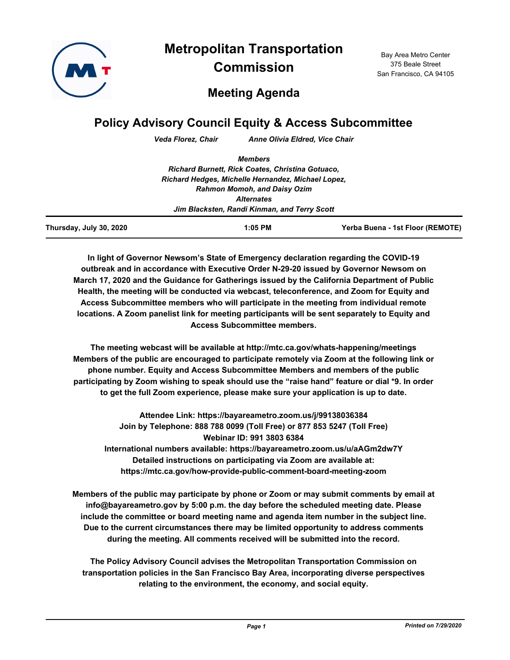

**Metropolitan Transportation Commission**

Bay Area Metro Center 375 Beale Street San Francisco, CA 94105

## **Meeting Agenda**

# **Policy Advisory Council Equity & Access Subcommittee**

*Veda Florez, Chair Anne Olivia Eldred, Vice Chair*

|                         | <b>Members</b>                                     |                                  |
|-------------------------|----------------------------------------------------|----------------------------------|
|                         | Richard Burnett, Rick Coates, Christina Gotuaco,   |                                  |
|                         | Richard Hedges, Michelle Hernandez, Michael Lopez, |                                  |
|                         | <b>Rahmon Momoh, and Daisy Ozim</b>                |                                  |
|                         | <b>Alternates</b>                                  |                                  |
|                         | Jim Blacksten, Randi Kinman, and Terry Scott       |                                  |
| Thursday, July 30, 2020 | $1:05$ PM                                          | Yerba Buena - 1st Floor (REMOTE) |

**In light of Governor Newsom's State of Emergency declaration regarding the COVID-19 outbreak and in accordance with Executive Order N-29-20 issued by Governor Newsom on March 17, 2020 and the Guidance for Gatherings issued by the California Department of Public Health, the meeting will be conducted via webcast, teleconference, and Zoom for Equity and Access Subcommittee members who will participate in the meeting from individual remote locations. A Zoom panelist link for meeting participants will be sent separately to Equity and Access Subcommittee members.**

**The meeting webcast will be available at http://mtc.ca.gov/whats-happening/meetings Members of the public are encouraged to participate remotely via Zoom at the following link or phone number. Equity and Access Subcommittee Members and members of the public participating by Zoom wishing to speak should use the "raise hand" feature or dial \*9. In order to get the full Zoom experience, please make sure your application is up to date.**

**Attendee Link: https://bayareametro.zoom.us/j/99138036384 Join by Telephone: 888 788 0099 (Toll Free) or 877 853 5247 (Toll Free) Webinar ID: 991 3803 6384 International numbers available: https://bayareametro.zoom.us/u/aAGm2dw7Y Detailed instructions on participating via Zoom are available at: https://mtc.ca.gov/how-provide-public-comment-board-meeting-zoom**

**Members of the public may participate by phone or Zoom or may submit comments by email at info@bayareametro.gov by 5:00 p.m. the day before the scheduled meeting date. Please include the committee or board meeting name and agenda item number in the subject line. Due to the current circumstances there may be limited opportunity to address comments during the meeting. All comments received will be submitted into the record.**

**The Policy Advisory Council advises the Metropolitan Transportation Commission on transportation policies in the San Francisco Bay Area, incorporating diverse perspectives relating to the environment, the economy, and social equity.**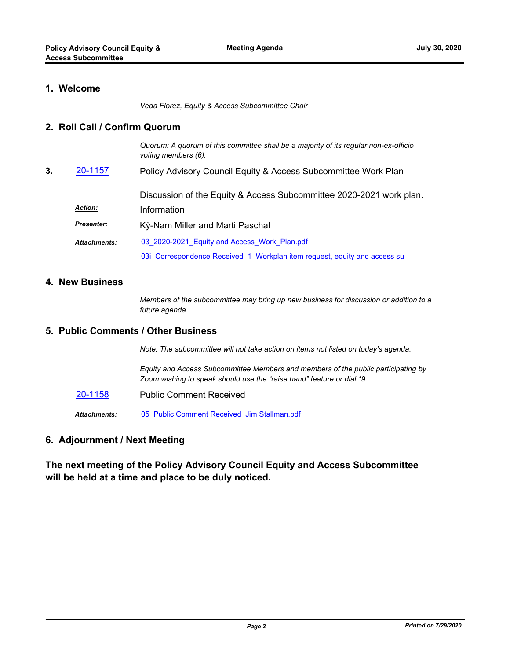### **1. Welcome**

*Veda Florez, Equity & Access Subcommittee Chair*

#### **2. Roll Call / Confirm Quorum**

*Quorum: A quorum of this committee shall be a majority of its regular non-ex-officio voting members (6).* Policy Advisory Council Equity & Access Subcommittee Work Plan Discussion of the Equity & Access Subcommittee 2020-2021 work plan. **3.** [20-1157](http://mtc.legistar.com/gateway.aspx?m=l&id=/matter.aspx?key=21022) *Action:* Information

| <u>Presenter:</u> | Kỳ-Nam Miller and Marti Paschal                                           |
|-------------------|---------------------------------------------------------------------------|
| Attachments:      | 03 2020-2021 Equity and Access Work Plan.pdf                              |
|                   | 03i Correspondence Received 1 Workplan item request, equity and access su |

#### **4. New Business**

*Members of the subcommittee may bring up new business for discussion or addition to a future agenda.*

## **5. Public Comments / Other Business**

*Note: The subcommittee will not take action on items not listed on today's agenda.*

*Equity and Access Subcommittee Members and members of the public participating by Zoom wishing to speak should use the "raise hand" feature or dial \*9.*

[20-1158](http://mtc.legistar.com/gateway.aspx?m=l&id=/matter.aspx?key=21023) Public Comment Received

*Attachments:* [05\\_Public Comment Received\\_Jim Stallman.pdf](http://mtc.legistar.com/gateway.aspx?M=F&ID=779edfcc-83f4-4c88-b4ca-3e374bc5dd02.pdf)

## **6. Adjournment / Next Meeting**

## **The next meeting of the Policy Advisory Council Equity and Access Subcommittee will be held at a time and place to be duly noticed.**